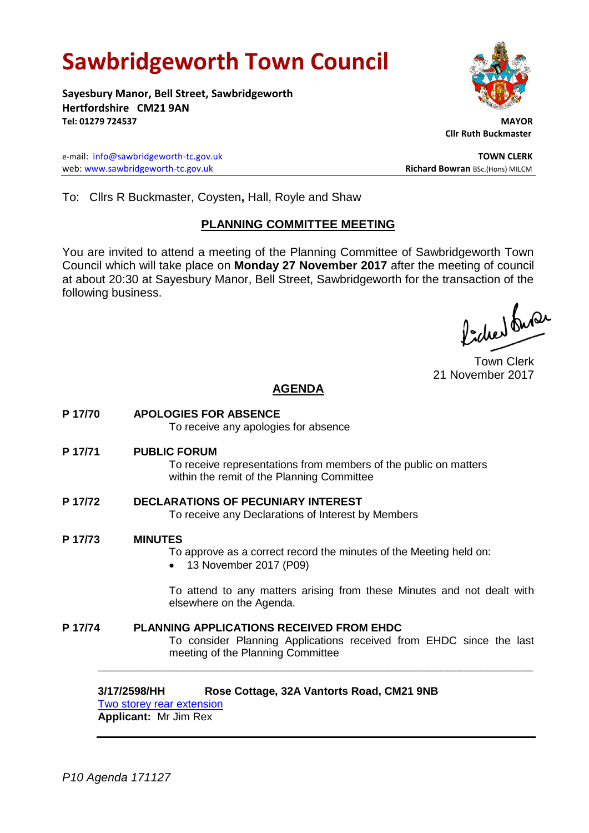# **Sawbridgeworth Town Council**

**Sayesbury Manor, Bell Street, Sawbridgeworth Hertfordshire CM21 9AN Tel: 01279 724537 MAYOR**

e-mail: [info@sawbridgeworth-tc.gov.uk](mailto:info@sawbridgeworth-tc.gov.uk) **TOWN CLERK** web: www.sawbridgeworth-tc.gov.uk<br> **Richard Bowran** BSc.(Hons) MILCM



 **Cllr Ruth Buckmaster** 

To: Cllrs R Buckmaster, Coysten**,** Hall, Royle and Shaw

# **PLANNING COMMITTEE MEETING**

You are invited to attend a meeting of the Planning Committee of Sawbridgeworth Town Council which will take place on **Monday 27 November 2017** after the meeting of council at about 20:30 at Sayesbury Manor, Bell Street, Sawbridgeworth for the transaction of the following business.

fidee busi

Town Clerk 21 November 2017

# **AGENDA**

**P 17/70 APOLOGIES FOR ABSENCE** To receive any apologies for absence **P 17/71 PUBLIC FORUM** To receive representations from members of the public on matters within the remit of the Planning Committee **P 17/72 DECLARATIONS OF PECUNIARY INTEREST** To receive any Declarations of Interest by Members **P 17/73 MINUTES** To approve as a correct record the minutes of the Meeting held on: • 13 November 2017 (P09) To attend to any matters arising from these Minutes and not dealt with elsewhere on the Agenda. **P 17/74 PLANNING APPLICATIONS RECEIVED FROM EHDC** To consider Planning Applications received from EHDC since the last meeting of the Planning Committee **\_\_\_\_\_\_\_\_\_\_\_\_\_\_\_\_\_\_\_\_\_\_\_\_\_\_\_\_\_\_\_\_\_\_\_\_\_\_\_\_\_\_\_\_\_\_\_\_\_\_\_\_\_\_\_\_\_\_\_\_\_\_\_\_\_\_**

### **3/17/2598/HH Rose Cottage, 32A Vantorts Road, CM21 9NB** [Two storey rear extension](https://publicaccess.eastherts.gov.uk/online-applications/applicationDetails.do?keyVal=OYZW1IGLJ8E00&activeTab=summary)

**Applicant:** Mr Jim Rex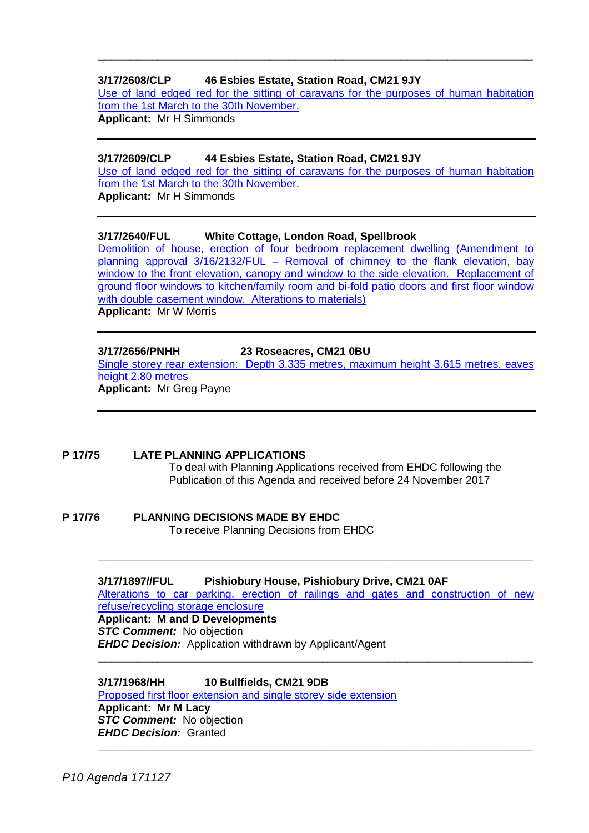## **3/17/2608/CLP 46 Esbies Estate, Station Road, CM21 9JY**

[Use of land edged red for the sitting of caravans for the purposes of human habitation](https://publicaccess.eastherts.gov.uk/online-applications/applicationDetails.do?activeTab=documents&keyVal=OZ1FMPGLJ9600)  [from the 1st March to the 30th November](https://publicaccess.eastherts.gov.uk/online-applications/applicationDetails.do?activeTab=documents&keyVal=OZ1FMPGLJ9600).

**\_\_\_\_\_\_\_\_\_\_\_\_\_\_\_\_\_\_\_\_\_\_\_\_\_\_\_\_\_\_\_\_\_\_\_\_\_\_\_\_\_\_\_\_\_\_\_\_\_\_\_\_\_\_\_\_\_\_\_\_\_\_\_\_\_\_**

**Applicant:** Mr H Simmonds

#### **3/17/2609/CLP 44 Esbies Estate, Station Road, CM21 9JY**

[Use of land edged red for the sitting of caravans for the purposes of human habitation](https://publicaccess.eastherts.gov.uk/online-applications/applicationDetails.do?activeTab=documents&keyVal=OZ1FMXGLJ9800)  [from the 1st March to the 30th November.](https://publicaccess.eastherts.gov.uk/online-applications/applicationDetails.do?activeTab=documents&keyVal=OZ1FMXGLJ9800)

**Applicant:** Mr H Simmonds

## **3/17/2640/FUL White Cottage, London Road, Spellbrook**

[Demolition of house, erection of four bedroom replacement dwelling \(Amendment to](https://publicaccess.eastherts.gov.uk/online-applications/applicationDetails.do?keyVal=OZ6ZMFGLJBA00&activeTab=summary)  planning approval 3/16/2132/FUL – [Removal of chimney to the flank elevation, bay](https://publicaccess.eastherts.gov.uk/online-applications/applicationDetails.do?keyVal=OZ6ZMFGLJBA00&activeTab=summary)  window to the front elevation, canopy and window to the side elevation. Replacement of [ground floor windows to kitchen/family room and bi-fold patio doors and first floor window](https://publicaccess.eastherts.gov.uk/online-applications/applicationDetails.do?keyVal=OZ6ZMFGLJBA00&activeTab=summary)  with [double casement window. Alterations to materials\)](https://publicaccess.eastherts.gov.uk/online-applications/applicationDetails.do?keyVal=OZ6ZMFGLJBA00&activeTab=summary) **Applicant:** Mr W Morris

#### **3/17/2656/PNHH 23 Roseacres, CM21 0BU** [Single storey rear extension: Depth 3.335 metres, maximum height 3.615 metres, eaves](https://publicaccess.eastherts.gov.uk/online-applications/applicationDetails.do?keyVal=OZCZFJGL00W00&activeTab=summary)  [height 2.80 metres](https://publicaccess.eastherts.gov.uk/online-applications/applicationDetails.do?keyVal=OZCZFJGL00W00&activeTab=summary) **Applicant:** Mr Greg Payne

#### **P 17/75 LATE PLANNING APPLICATIONS** To deal with Planning Applications received from EHDC following the Publication of this Agenda and received before 24 November 2017

# **P 17/76 PLANNING DECISIONS MADE BY EHDC**

To receive Planning Decisions from EHDC

#### **3/17/1897//FUL Pishiobury House, Pishiobury Drive, CM21 0AF**

[Alterations to car parking, erection of railings and gates and construction of new](https://publicaccess.eastherts.gov.uk/online-applications/applicationDetails.do?keyVal=OUH5QTGLI2E00&activeTab=summary)  [refuse/recycling storage enclosure](https://publicaccess.eastherts.gov.uk/online-applications/applicationDetails.do?keyVal=OUH5QTGLI2E00&activeTab=summary)

**\_\_\_\_\_\_\_\_\_\_\_\_\_\_\_\_\_\_\_\_\_\_\_\_\_\_\_\_\_\_\_\_\_\_\_\_\_\_\_\_\_\_\_\_\_\_\_\_\_\_\_\_\_\_\_\_\_\_\_\_\_\_\_\_\_\_**

**\_\_\_\_\_\_\_\_\_\_\_\_\_\_\_\_\_\_\_\_\_\_\_\_\_\_\_\_\_\_\_\_\_\_\_\_\_\_\_\_\_\_\_\_\_\_\_\_\_\_\_\_\_\_\_\_\_\_\_\_\_\_\_\_\_\_**

**\_\_\_\_\_\_\_\_\_\_\_\_\_\_\_\_\_\_\_\_\_\_\_\_\_\_\_\_\_\_\_\_\_\_\_\_\_\_\_\_\_\_\_\_\_\_\_\_\_\_\_\_\_\_\_\_\_\_\_\_\_\_\_\_\_\_**

#### **Applicant: M and D Developments** *STC Comment:* No objection

*EHDC Decision:* Application withdrawn by Applicant/Agent

# **3/17/1968/HH 10 Bullfields, CM21 9DB**

[Proposed first floor extension and single storey side extension](https://publicaccess.eastherts.gov.uk/online-applications/applicationDetails.do?keyVal=OV140RGL00X00&activeTab=summary) **Applicant: Mr M Lacy** *STC Comment:* No objection

*EHDC Decision:* Granted